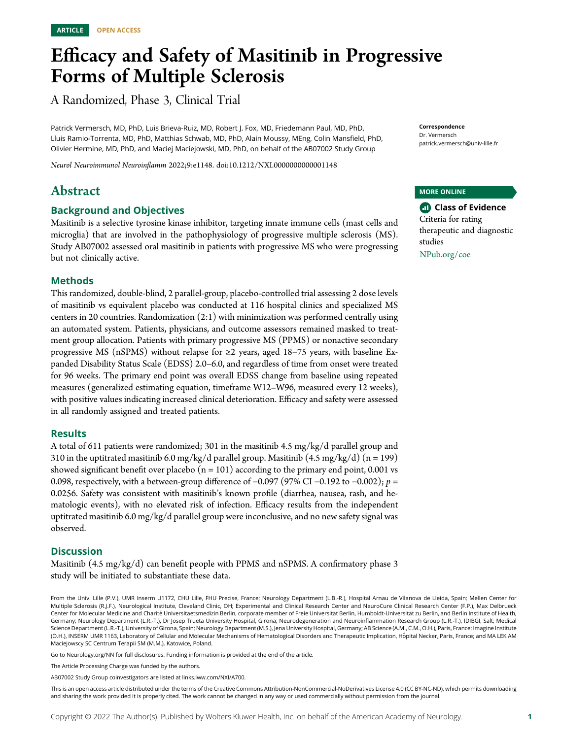# Efficacy and Safety of Masitinib in Progressive Forms of Multiple Sclerosis

A Randomized, Phase 3, Clinical Trial

Patrick Vermersch, MD, PhD, Luis Brieva-Ruiz, MD, Robert J. Fox, MD, Friedemann Paul, MD, PhD, Lluis Ramio-Torrenta, MD, PhD, Matthias Schwab, MD, PhD, Alain Moussy, MEng, Colin Mansfield, PhD, Olivier Hermine, MD, PhD, and Maciej Maciejowski, MD, PhD, on behalf of the AB07002 Study Group

Neurol Neuroimmunol Neuroinflamm 2022;9:e1148. doi[:10.1212/NXI.0000000000001148](http://dx.doi.org/10.1212/NXI.0000000000001148)

# Abstract

### Background and Objectives

Masitinib is a selective tyrosine kinase inhibitor, targeting innate immune cells (mast cells and microglia) that are involved in the pathophysiology of progressive multiple sclerosis (MS). Study AB07002 assessed oral masitinib in patients with progressive MS who were progressing but not clinically active.

### Methods

This randomized, double-blind, 2 parallel-group, placebo-controlled trial assessing 2 dose levels of masitinib vs equivalent placebo was conducted at 116 hospital clinics and specialized MS centers in 20 countries. Randomization (2:1) with minimization was performed centrally using an automated system. Patients, physicians, and outcome assessors remained masked to treatment group allocation. Patients with primary progressive MS (PPMS) or nonactive secondary progressive MS (nSPMS) without relapse for ≥2 years, aged 18–75 years, with baseline Expanded Disability Status Scale (EDSS) 2.0–6.0, and regardless of time from onset were treated for 96 weeks. The primary end point was overall EDSS change from baseline using repeated measures (generalized estimating equation, timeframe W12–W96, measured every 12 weeks), with positive values indicating increased clinical deterioration. Efficacy and safety were assessed in all randomly assigned and treated patients.

### **Results**

A total of 611 patients were randomized; 301 in the masitinib 4.5 mg/kg/d parallel group and 310 in the uptitrated masitinib 6.0 mg/kg/d parallel group. Masitinib  $(4.5 \text{ mg/kg/d})$  (n = 199) showed significant benefit over placebo  $(n = 101)$  according to the primary end point, 0.001 vs 0.098, respectively, with a between-group difference of −0.097 (97% CI −0.192 to −0.002); p = 0.0256. Safety was consistent with masitinib's known profile (diarrhea, nausea, rash, and hematologic events), with no elevated risk of infection. Efficacy results from the independent uptitrated masitinib 6.0 mg/kg/d parallel group were inconclusive, and no new safety signal was observed.

### **Discussion**

Masitinib (4.5 mg/kg/d) can benefit people with PPMS and nSPMS. A confirmatory phase 3 study will be initiated to substantiate these data.

Go to [Neurology.org/NN](https://nn.neurology.org/content/9/3/e1148/tab-article-info) for full disclosures. Funding information is provided at the end of the article.

Correspondence Dr. Vermersch [patrick.vermersch@univ-lille.fr](mailto:patrick.vermersch@univ-lille.fr)

MORE ONLINE

**Class of Evidence** Criteria for rating therapeutic and diagnostic studies [NPub.org/coe](http://NPub.org/coe)

From the Univ. Lille (P.V.), UMR Inserm U1172, CHU Lille, FHU Precise, France; Neurology Department (L.B.-R.), Hospital Arnau de Vilanova de Lleida, Spain; Mellen Center for Multiple Sclerosis (R.J.F.), Neurological Institute, Cleveland Clinic, OH; Experimental and Clinical Research Center and NeuroCure Clinical Research Center (F.P.), Max Delbrueck Center for Molecular Medicine and Charité Universitaetsmedizin Berlin, corporate member of Freie Universität Berlin, Humboldt-Universität zu Berlin, and Berlin Institute of Health, Germany; Neurology Department (L.R.-T.), Dr Josep Trueta University Hospital, Girona; Neurodegeneration and Neuroinflammation Research Group (L.R.-T.), IDIBGI, Salt; Medical Science Department (L.R.-T.), University of Girona, Spain; Neurology Department (M.S.), Jena University Hospital, Germany; AB Science (A.M., C.M., O.H.), Paris, France; Imagine Institute (O.H.), INSERM UMR 1163, Laboratory of Cellular and Molecular Mechanisms of Hematological Disorders and Therapeutic Implication, Hopital Necker, Paris, France; and MA LEK AM ˆ Maciejowscy SC Centrum Terapii SM (M.M.), Katowice, Poland.

The Article Processing Charge was funded by the authors.

AB07002 Study Group coinvestigators are listed at [links.lww.com/NXI/A700.](http://links.lww.com/NXI/A700)

This is an open access article distributed under the terms of the [Creative Commons Attribution-NonCommercial-NoDerivatives License 4.0 \(CC BY-NC-ND\),](http://creativecommons.org/licenses/by-nc-nd/4.0/) which permits downloading and sharing the work provided it is properly cited. The work cannot be changed in any way or used commercially without permission from the journal.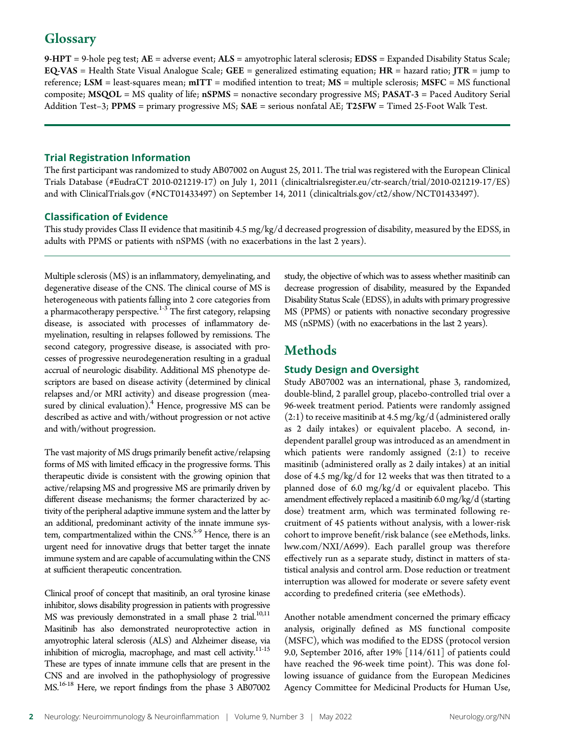# **Glossary**

 $9-HPT = 9$ -hole peg test;  $AE =$  adverse event;  $ALS =$  amyotrophic lateral sclerosis;  $EDSS =$  Expanded Disability Status Scale;  $EQ\text{-}VAS =$  Health State Visual Analogue Scale;  $GEE =$  generalized estimating equation;  $HR =$  hazard ratio; JTR = jump to reference; LSM = least-squares mean;  $mITT$  = modified intention to treat;  $MS$  = multiple sclerosis;  $MSFC$  = MS functional composite; MSQOL = MS quality of life; nSPMS = nonactive secondary progressive MS; PASAT-3 = Paced Auditory Serial Addition Test-3; PPMS = primary progressive MS; SAE = serious nonfatal AE; T25FW = Timed 25-Foot Walk Test.

### Trial Registration Information

The first participant was randomized to study AB07002 on August 25, 2011. The trial was registered with the European Clinical Trials Database (#EudraCT 2010-021219-17) on July 1, 2011 ([clinicaltrialsregister.eu/ctr-search/trial/2010-021219-17/ES](http://www.clinicaltrialsregister.eu/ctr-search/trial/2010-021219-17/ES)) and with [ClinicalTrials.gov](http://ClinicalTrials.gov) (#NCT01433497) on September 14, 2011 ([clinicaltrials.gov/ct2/show/NCT01433497](https://clinicaltrials.gov/ct2/show/NCT01433497)).

### Classification of Evidence

This study provides Class II evidence that masitinib 4.5 mg/kg/d decreased progression of disability, measured by the EDSS, in adults with PPMS or patients with nSPMS (with no exacerbations in the last 2 years).

Multiple sclerosis (MS) is an inflammatory, demyelinating, and degenerative disease of the CNS. The clinical course of MS is heterogeneous with patients falling into 2 core categories from a pharmacotherapy perspective.<sup>1-3</sup> The first category, relapsing disease, is associated with processes of inflammatory demyelination, resulting in relapses followed by remissions. The second category, progressive disease, is associated with processes of progressive neurodegeneration resulting in a gradual accrual of neurologic disability. Additional MS phenotype descriptors are based on disease activity (determined by clinical relapses and/or MRI activity) and disease progression (measured by clinical evaluation). $4$  Hence, progressive MS can be described as active and with/without progression or not active and with/without progression.

The vast majority of MS drugs primarily benefit active/relapsing forms of MS with limited efficacy in the progressive forms. This therapeutic divide is consistent with the growing opinion that active/relapsing MS and progressive MS are primarily driven by different disease mechanisms; the former characterized by activity of the peripheral adaptive immune system and the latter by an additional, predominant activity of the innate immune system, compartmentalized within the CNS.<sup>5-9</sup> Hence, there is an urgent need for innovative drugs that better target the innate immune system and are capable of accumulating within the CNS at sufficient therapeutic concentration.

Clinical proof of concept that masitinib, an oral tyrosine kinase inhibitor, slows disability progression in patients with progressive MS was previously demonstrated in a small phase 2 trial.<sup>10,11</sup> Masitinib has also demonstrated neuroprotective action in amyotrophic lateral sclerosis (ALS) and Alzheimer disease, via inhibition of microglia, macrophage, and mast cell activity.<sup>11-15</sup> These are types of innate immune cells that are present in the CNS and are involved in the pathophysiology of progressive MS.16-18 Here, we report findings from the phase 3 AB07002 study, the objective of which was to assess whether masitinib can decrease progression of disability, measured by the Expanded Disability Status Scale (EDSS), in adults with primary progressive MS (PPMS) or patients with nonactive secondary progressive MS (nSPMS) (with no exacerbations in the last 2 years).

# Methods

### Study Design and Oversight

Study AB07002 was an international, phase 3, randomized, double-blind, 2 parallel group, placebo-controlled trial over a 96-week treatment period. Patients were randomly assigned  $(2:1)$  to receive masitinib at 4.5 mg/kg/d (administered orally as 2 daily intakes) or equivalent placebo. A second, independent parallel group was introduced as an amendment in which patients were randomly assigned (2:1) to receive masitinib (administered orally as 2 daily intakes) at an initial dose of 4.5 mg/kg/d for 12 weeks that was then titrated to a planned dose of 6.0 mg/kg/d or equivalent placebo. This amendment effectively replaced a masitinib 6.0 mg/kg/d (starting dose) treatment arm, which was terminated following recruitment of 45 patients without analysis, with a lower-risk cohort to improve benefit/risk balance (see eMethods, [links.](http://links.lww.com/NXI/A699) [lww.com/NXI/A699](http://links.lww.com/NXI/A699)). Each parallel group was therefore effectively run as a separate study, distinct in matters of statistical analysis and control arm. Dose reduction or treatment interruption was allowed for moderate or severe safety event according to predefined criteria (see eMethods).

Another notable amendment concerned the primary efficacy analysis, originally defined as MS functional composite (MSFC), which was modified to the EDSS (protocol version 9.0, September 2016, after 19% [114/611] of patients could have reached the 96-week time point). This was done following issuance of guidance from the European Medicines Agency Committee for Medicinal Products for Human Use,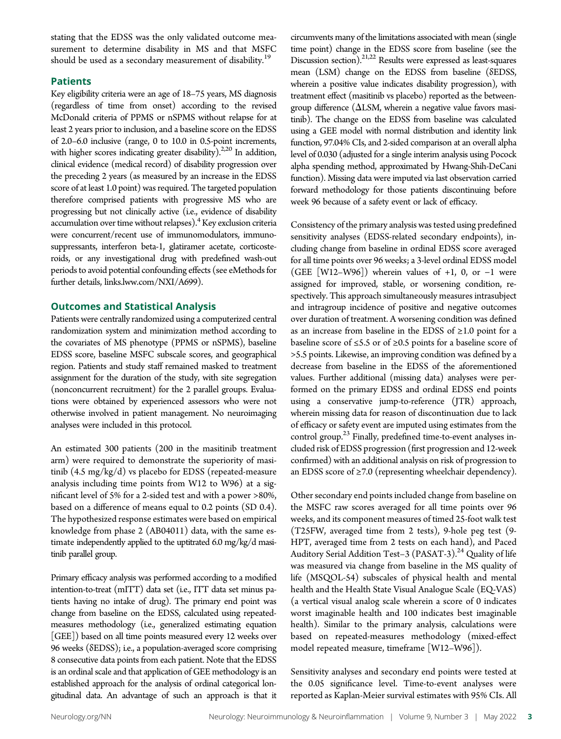stating that the EDSS was the only validated outcome measurement to determine disability in MS and that MSFC should be used as a secondary measurement of disability.<sup>19</sup>

### Patients

Key eligibility criteria were an age of 18–75 years, MS diagnosis (regardless of time from onset) according to the revised McDonald criteria of PPMS or nSPMS without relapse for at least 2 years prior to inclusion, and a baseline score on the EDSS of 2.0–6.0 inclusive (range, 0 to 10.0 in 0.5-point increments, with higher scores indicating greater disability).<sup>2,20</sup> In addition, clinical evidence (medical record) of disability progression over the preceding 2 years (as measured by an increase in the EDSS score of at least 1.0 point) was required. The targeted population therefore comprised patients with progressive MS who are progressing but not clinically active (i.e., evidence of disability accumulation over time without relapses). $4$  Key exclusion criteria were concurrent/recent use of immunomodulators, immunosuppressants, interferon beta-1, glatiramer acetate, corticosteroids, or any investigational drug with predefined wash-out periods to avoid potential confounding effects (see eMethods for further details, [links.lww.com/NXI/A699](http://links.lww.com/NXI/A699)).

### Outcomes and Statistical Analysis

Patients were centrally randomized using a computerized central randomization system and minimization method according to the covariates of MS phenotype (PPMS or nSPMS), baseline EDSS score, baseline MSFC subscale scores, and geographical region. Patients and study staff remained masked to treatment assignment for the duration of the study, with site segregation (nonconcurrent recruitment) for the 2 parallel groups. Evaluations were obtained by experienced assessors who were not otherwise involved in patient management. No neuroimaging analyses were included in this protocol.

An estimated 300 patients (200 in the masitinib treatment arm) were required to demonstrate the superiority of masitinib (4.5 mg/kg/d) vs placebo for EDSS (repeated-measure analysis including time points from W12 to W96) at a significant level of 5% for a 2-sided test and with a power >80%, based on a difference of means equal to 0.2 points (SD 0.4). The hypothesized response estimates were based on empirical knowledge from phase 2 (AB04011) data, with the same estimate independently applied to the uptitrated 6.0 mg/kg/d masitinib parallel group.

Primary efficacy analysis was performed according to a modified intention-to-treat (mITT) data set (i.e., ITT data set minus patients having no intake of drug). The primary end point was change from baseline on the EDSS, calculated using repeatedmeasures methodology (i.e., generalized estimating equation [GEE]) based on all time points measured every 12 weeks over 96 weeks (δEDSS); i.e., a population-averaged score comprising 8 consecutive data points from each patient. Note that the EDSS is an ordinal scale and that application of GEE methodology is an established approach for the analysis of ordinal categorical longitudinal data. An advantage of such an approach is that it circumvents many of the limitations associated with mean (single time point) change in the EDSS score from baseline (see the Discussion section).<sup>21,22</sup> Results were expressed as least-squares mean (LSM) change on the EDSS from baseline (δEDSS, wherein a positive value indicates disability progression), with treatment effect (masitinib vs placebo) reported as the betweengroup difference  $(\Delta LSM)$ , wherein a negative value favors masitinib). The change on the EDSS from baseline was calculated using a GEE model with normal distribution and identity link function, 97.04% CIs, and 2-sided comparison at an overall alpha level of 0.030 (adjusted for a single interim analysis using Pocock alpha spending method, approximated by Hwang-Shih-DeCani function). Missing data were imputed via last observation carried forward methodology for those patients discontinuing before week 96 because of a safety event or lack of efficacy.

Consistency of the primary analysis was tested using predefined sensitivity analyses (EDSS-related secondary endpoints), including change from baseline in ordinal EDSS score averaged for all time points over 96 weeks; a 3-level ordinal EDSS model (GEE [W12–W96]) wherein values of +1, 0, or  $-1$  were assigned for improved, stable, or worsening condition, respectively. This approach simultaneously measures intrasubject and intragroup incidence of positive and negative outcomes over duration of treatment. A worsening condition was defined as an increase from baseline in the EDSS of ≥1.0 point for a baseline score of ≤5.5 or of ≥0.5 points for a baseline score of >5.5 points. Likewise, an improving condition was defined by a decrease from baseline in the EDSS of the aforementioned values. Further additional (missing data) analyses were performed on the primary EDSS and ordinal EDSS end points using a conservative jump-to-reference (JTR) approach, wherein missing data for reason of discontinuation due to lack of efficacy or safety event are imputed using estimates from the control group.<sup>23</sup> Finally, predefined time-to-event analyses included risk of EDSS progression (first progression and 12-week confirmed) with an additional analysis on risk of progression to an EDSS score of  $\geq$ 7.0 (representing wheelchair dependency).

Other secondary end points included change from baseline on the MSFC raw scores averaged for all time points over 96 weeks, and its component measures of timed 25-foot walk test (T25FW, averaged time from 2 tests), 9-hole peg test (9- HPT, averaged time from 2 tests on each hand), and Paced Auditory Serial Addition Test-3 (PASAT-3).<sup>24</sup> Quality of life was measured via change from baseline in the MS quality of life (MSQOL-54) subscales of physical health and mental health and the Health State Visual Analogue Scale (EQ-VAS) (a vertical visual analog scale wherein a score of 0 indicates worst imaginable health and 100 indicates best imaginable health). Similar to the primary analysis, calculations were based on repeated-measures methodology (mixed-effect model repeated measure, timeframe [W12–W96]).

Sensitivity analyses and secondary end points were tested at the 0.05 significance level. Time-to-event analyses were reported as Kaplan-Meier survival estimates with 95% CIs. All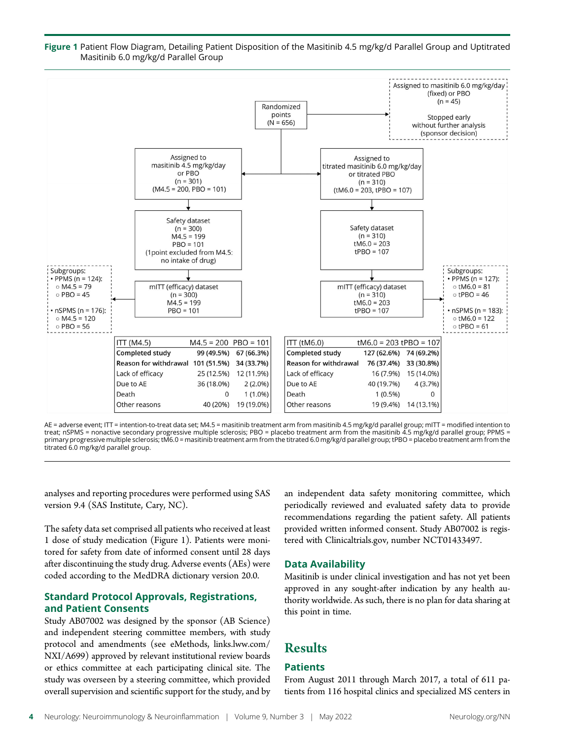

Figure 1 Patient Flow Diagram, Detailing Patient Disposition of the Masitinib 4.5 mg/kg/d Parallel Group and Uptitrated Masitinib 6.0 mg/kg/d Parallel Group

AE = adverse event; ITT = intention-to-treat data set; M4.5 = masitinib treatment arm from masitinib 4.5 mg/kg/d parallel group; mITT = modified intention to treat; nSPMS = nonactive secondary progressive multiple sclerosis; PBO = placebo treatment arm from the masitinib 4.5 mg/kg/d parallel group; PPMS = primary progressive multiple sclerosis; tM6.0 = masitinib treatment arm from the titrated 6.0 mg/kg/d parallel group; tPBO = placebo treatment arm from the titrated 6.0 mg/kg/d parallel group.

analyses and reporting procedures were performed using SAS version 9.4 (SAS Institute, Cary, NC).

The safety data set comprised all patients who received at least 1 dose of study medication (Figure 1). Patients were monitored for safety from date of informed consent until 28 days after discontinuing the study drug. Adverse events (AEs) were coded according to the MedDRA dictionary version 20.0.

### Standard Protocol Approvals, Registrations, and Patient Consents

Study AB07002 was designed by the sponsor (AB Science) and independent steering committee members, with study protocol and amendments (see eMethods, [links.lww.com/](http://links.lww.com/NXI/A699) [NXI/A699](http://links.lww.com/NXI/A699)) approved by relevant institutional review boards or ethics committee at each participating clinical site. The study was overseen by a steering committee, which provided overall supervision and scientific support for the study, and by an independent data safety monitoring committee, which periodically reviewed and evaluated safety data to provide recommendations regarding the patient safety. All patients provided written informed consent. Study AB07002 is registered with [Clinicaltrials.gov](http://Clinicaltrials.gov), number NCT01433497.

### Data Availability

Masitinib is under clinical investigation and has not yet been approved in any sought-after indication by any health authority worldwide. As such, there is no plan for data sharing at this point in time.

## **Results**

### Patients

From August 2011 through March 2017, a total of 611 patients from 116 hospital clinics and specialized MS centers in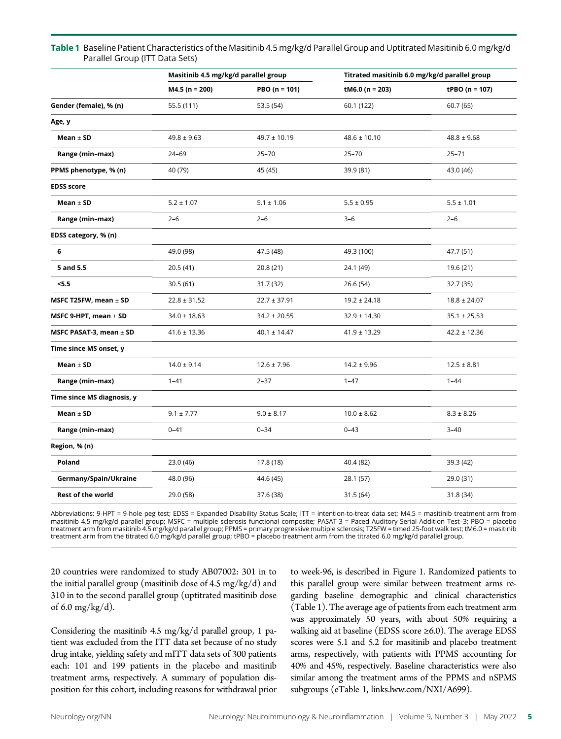|                             | Masitinib 4.5 mg/kg/d parallel group |                   | Titrated masitinib 6.0 mg/kg/d parallel group |                    |
|-----------------------------|--------------------------------------|-------------------|-----------------------------------------------|--------------------|
|                             | $M4.5$ (n = 200)                     | PBO ( $n = 101$ ) | tM6.0 ( $n = 203$ )                           | tPBO ( $n = 107$ ) |
| Gender (female), % (n)      | 55.5 (111)                           | 53.5 (54)         | 60.1 (122)                                    | 60.7 (65)          |
| Age, y                      |                                      |                   |                                               |                    |
| Mean $\pm$ SD               | $49.8 \pm 9.63$                      | $49.7 \pm 10.19$  | $48.6 \pm 10.10$                              | $48.8 \pm 9.68$    |
| Range (min-max)             | 24-69                                | $25 - 70$         | $25 - 70$                                     | $25 - 71$          |
| PPMS phenotype, % (n)       | 40 (79)                              | 45 (45)           | 39.9 (81)                                     | 43.0 (46)          |
| <b>EDSS score</b>           |                                      |                   |                                               |                    |
| Mean $\pm$ SD               | $5.2 \pm 1.07$                       | $5.1 \pm 1.06$    | $5.5 \pm 0.95$                                | $5.5 \pm 1.01$     |
| Range (min-max)             | $2 - 6$                              | $2 - 6$           | $3 - 6$                                       | $2 - 6$            |
| EDSS category, % (n)        |                                      |                   |                                               |                    |
| 6                           | 49.0 (98)                            | 47.5 (48)         | 49.3 (100)                                    | 47.7 (51)          |
| 5 and 5.5                   | 20.5 (41)                            | 20.8 (21)         | 24.1 (49)                                     | 19.6 (21)          |
| < 5.5                       | 30.5 (61)                            | 31.7 (32)         | 26.6 (54)                                     | 32.7 (35)          |
| MSFC T25FW, mean $\pm$ SD   | $22.8 \pm 31.52$                     | $22.7 \pm 37.91$  | $19.2 \pm 24.18$                              | $18.8 \pm 24.07$   |
| MSFC 9-HPT, mean $\pm$ SD   | $34.0 \pm 18.63$                     | $34.2 \pm 20.55$  | $32.9 \pm 14.30$                              | $35.1 \pm 25.53$   |
| MSFC PASAT-3, mean $\pm$ SD | $41.6 \pm 13.36$                     | $40.1 \pm 14.47$  | $41.9 \pm 13.29$                              | $42.2 \pm 12.36$   |
| Time since MS onset, y      |                                      |                   |                                               |                    |
| Mean $\pm$ SD               | $14.0 \pm 9.14$                      | $12.6 \pm 7.96$   | $14.2 \pm 9.96$                               | $12.5 \pm 8.81$    |
| Range (min-max)             | $1 - 41$                             | $2 - 37$          | $1 - 47$                                      | $1 - 44$           |
| Time since MS diagnosis, y  |                                      |                   |                                               |                    |
| Mean $\pm$ SD               | $9.1 \pm 7.77$                       | $9.0 \pm 8.17$    | $10.0 \pm 8.62$                               | $8.3 \pm 8.26$     |
| Range (min-max)             | $0 - 41$                             | $0 - 34$          | $0 - 43$                                      | $3 - 40$           |
| Region, % (n)               |                                      |                   |                                               |                    |
| Poland                      | 23.0 (46)                            | 17.8 (18)         | 40.4 (82)                                     | 39.3 (42)          |
| Germany/Spain/Ukraine       | 48.0 (96)                            | 44.6 (45)         | 28.1 (57)                                     | 29.0 (31)          |
| <b>Rest of the world</b>    | 29.0 (58)                            | 37.6 (38)         | 31.5 (64)                                     | 31.8 (34)          |

### Table 1 Baseline Patient Characteristics of the Masitinib 4.5 mg/kg/d Parallel Group and Uptitrated Masitinib 6.0 mg/kg/d Parallel Group (ITT Data Sets)

Abbreviations: 9-HPT = 9-hole peg test; EDSS = Expanded Disability Status Scale; ITT = intention-to-treat data set; M4.5 = masitinib treatment arm from masitinib 4.5 mg/kg/d parallel group; MSFC = multiple sclerosis functional composite; PASAT-3 = Paced Auditory Serial Addition Test–3; PBO = placebo treatment arm from masitinib 4.5 mg/kg/d parallel group; PPMS = primary progressive multiple sclerosis; T25FW = timed 25-foot walk test; tM6.0 = masitinib treatment arm from the titrated 6.0 mg/kg/d parallel group; tPBO = placebo treatment arm from the titrated 6.0 mg/kg/d parallel group.

20 countries were randomized to study AB07002: 301 in to the initial parallel group (masitinib dose of 4.5 mg/kg/d) and 310 in to the second parallel group (uptitrated masitinib dose of 6.0 mg/kg/d).

Considering the masitinib 4.5 mg/kg/d parallel group, 1 patient was excluded from the ITT data set because of no study drug intake, yielding safety and mITT data sets of 300 patients each: 101 and 199 patients in the placebo and masitinib treatment arms, respectively. A summary of population disposition for this cohort, including reasons for withdrawal prior to week-96, is described in Figure 1. Randomized patients to this parallel group were similar between treatment arms regarding baseline demographic and clinical characteristics (Table 1). The average age of patients from each treatment arm was approximately 50 years, with about 50% requiring a walking aid at baseline (EDSS score ≥6.0). The average EDSS scores were 5.1 and 5.2 for masitinib and placebo treatment arms, respectively, with patients with PPMS accounting for 40% and 45%, respectively. Baseline characteristics were also similar among the treatment arms of the PPMS and nSPMS subgroups (eTable 1, [links.lww.com/NXI/A699\)](http://links.lww.com/NXI/A699).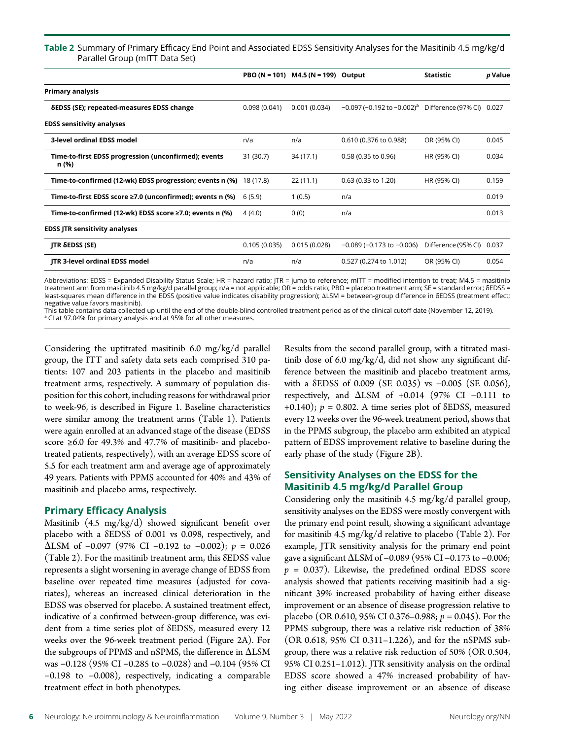### Table 2 Summary of Primary Efficacy End Point and Associated EDSS Sensitivity Analyses for the Masitinib 4.5 mg/kg/d Parallel Group (mITT Data Set)

|                                                                    |              | PBO (N = 101) M4.5 (N = 199) Output |                                             | <b>Statistic</b>          | p Value |
|--------------------------------------------------------------------|--------------|-------------------------------------|---------------------------------------------|---------------------------|---------|
| <b>Primary analysis</b>                                            |              |                                     |                                             |                           |         |
| δEDSS (SE); repeated-measures EDSS change                          | 0.098(0.041) | 0.001(0.034)                        | $-0.097$ (-0.192 to $-0.002$ ) <sup>a</sup> | Difference (97% CI) 0.027 |         |
| <b>EDSS sensitivity analyses</b>                                   |              |                                     |                                             |                           |         |
| 3-level ordinal EDSS model                                         | n/a          | n/a                                 | 0.610 (0.376 to 0.988)                      | OR (95% CI)               | 0.045   |
| Time-to-first EDSS progression (unconfirmed); events<br>n (%)      | 31 (30.7)    | 34 (17.1)                           | 0.58 (0.35 to 0.96)                         | HR (95% CI)               | 0.034   |
| Time-to-confirmed (12-wk) EDSS progression; events n (%) 18 (17.8) |              | 22(11.1)                            | $0.63$ (0.33 to 1.20)                       | HR (95% CI)               | 0.159   |
| Time-to-first EDSS score ≥7.0 (unconfirmed); events n (%)          | 6(5.9)       | 1(0.5)                              | n/a                                         |                           | 0.019   |
| Time-to-confirmed (12-wk) EDSS score $\geq$ 7.0; events n (%)      | 4(4.0)       | 0(0)                                | n/a                                         |                           | 0.013   |
| <b>EDSS JTR sensitivity analyses</b>                               |              |                                     |                                             |                           |         |
| JTR δEDSS (SE)                                                     | 0.105(0.035) | 0.015(0.028)                        | $-0.089$ ( $-0.173$ to $-0.006$ )           | Difference (95% CI) 0.037 |         |
| <b>JTR 3-level ordinal EDSS model</b>                              | n/a          | n/a                                 | 0.527 (0.274 to 1.012)                      | OR (95% CI)               | 0.054   |

Abbreviations: EDSS = Expanded Disability Status Scale; HR = hazard ratio; JTR = jump to reference; mITT = modified intention to treat; M4.5 = masitinib treatment arm from masitinib 4.5 mg/kg/d parallel group; n/a = not applicable; OR = odds ratio; PBO = placebo treatment arm; SE = standard error; δEDSS = least-squares mean difference in the EDSS (positive value indicates disability progression); ΔLSM = between-group difference in δEDSS (treatment effect; negative value favors masitinib).

This table contains data collected up until the end of the double-blind controlled treatment period as of the clinical cutoff date (November 12, 2019). <sup>a</sup> CI at 97.04% for primary analysis and at 95% for all other measures.

Considering the uptitrated masitinib 6.0 mg/kg/d parallel group, the ITT and safety data sets each comprised 310 patients: 107 and 203 patients in the placebo and masitinib treatment arms, respectively. A summary of population disposition for this cohort, including reasons for withdrawal prior to week-96, is described in Figure 1. Baseline characteristics were similar among the treatment arms (Table 1). Patients were again enrolled at an advanced stage of the disease (EDSS score ≥6.0 for 49.3% and 47.7% of masitinib- and placebotreated patients, respectively), with an average EDSS score of 5.5 for each treatment arm and average age of approximately 49 years. Patients with PPMS accounted for 40% and 43% of masitinib and placebo arms, respectively.

### Primary Efficacy Analysis

Masitinib (4.5 mg/kg/d) showed significant benefit over placebo with a δEDSS of 0.001 vs 0.098, respectively, and  $\Delta$ LSM of −0.097 (97% CI −0.192 to −0.002); *p* = 0.026 (Table 2). For the masitinib treatment arm, this δEDSS value represents a slight worsening in average change of EDSS from baseline over repeated time measures (adjusted for covariates), whereas an increased clinical deterioration in the EDSS was observed for placebo. A sustained treatment effect, indicative of a confirmed between-group difference, was evident from a time series plot of δEDSS, measured every 12 weeks over the 96-week treatment period (Figure 2A). For the subgroups of PPMS and nSPMS, the difference in  $\Delta$ LSM was −0.128 (95% CI −0.285 to −0.028) and −0.104 (95% CI −0.198 to −0.008), respectively, indicating a comparable treatment effect in both phenotypes.

Results from the second parallel group, with a titrated masitinib dose of 6.0 mg/kg/d, did not show any significant difference between the masitinib and placebo treatment arms, with a δEDSS of 0.009 (SE 0.035) vs −0.005 (SE 0.056), respectively, and DLSM of +0.014 (97% CI −0.111 to +0.140);  $p = 0.802$ . A time series plot of SEDSS, measured every 12 weeks over the 96-week treatment period, shows that in the PPMS subgroup, the placebo arm exhibited an atypical pattern of EDSS improvement relative to baseline during the early phase of the study (Figure 2B).

### Sensitivity Analyses on the EDSS for the Masitinib 4.5 mg/kg/d Parallel Group

Considering only the masitinib 4.5 mg/kg/d parallel group, sensitivity analyses on the EDSS were mostly convergent with the primary end point result, showing a significant advantage for masitinib 4.5 mg/kg/d relative to placebo (Table 2). For example, JTR sensitivity analysis for the primary end point gave a significant DLSM of −0.089 (95% CI −0.173 to −0.006;  $p = 0.037$ ). Likewise, the predefined ordinal EDSS score analysis showed that patients receiving masitinib had a significant 39% increased probability of having either disease improvement or an absence of disease progression relative to placebo (OR 0.610, 95% CI 0.376–0.988;  $p = 0.045$ ). For the PPMS subgroup, there was a relative risk reduction of 38% (OR 0.618, 95% CI 0.311–1.226), and for the nSPMS subgroup, there was a relative risk reduction of 50% (OR 0.504, 95% CI 0.251–1.012). JTR sensitivity analysis on the ordinal EDSS score showed a 47% increased probability of having either disease improvement or an absence of disease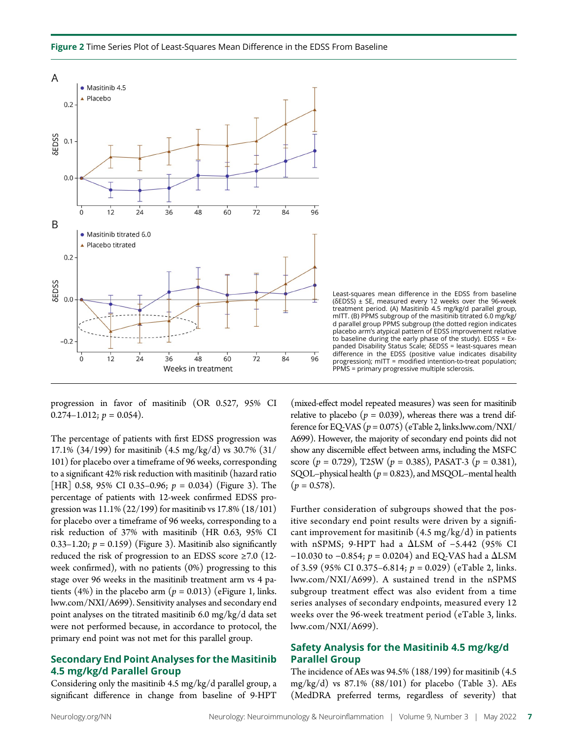progression in favor of masitinib (OR 0.527, 95% CI  $0.274-1.012$ ;  $p = 0.054$ ).

The percentage of patients with first EDSS progression was 17.1% (34/199) for masitinib (4.5 mg/kg/d) vs 30.7% (31/ 101) for placebo over a timeframe of 96 weeks, corresponding to a significant 42% risk reduction with masitinib (hazard ratio [HR] 0.58, 95% CI 0.35–0.96;  $p = 0.034$ ) (Figure 3). The percentage of patients with 12-week confirmed EDSS progression was 11.1% (22/199) for masitinib vs 17.8% (18/101) for placebo over a timeframe of 96 weeks, corresponding to a risk reduction of 37% with masitinib (HR 0.63, 95% CI 0.33–1.20;  $p = 0.159$ ) (Figure 3). Masitinib also significantly reduced the risk of progression to an EDSS score ≥7.0 (12 week confirmed), with no patients (0%) progressing to this stage over 96 weeks in the masitinib treatment arm vs 4 patients (4%) in the placebo arm ( $p = 0.013$ ) (eFigure 1, [links.](http://links.lww.com/NXI/A699) [lww.com/NXI/A699](http://links.lww.com/NXI/A699)). Sensitivity analyses and secondary end point analyses on the titrated masitinib 6.0 mg/kg/d data set were not performed because, in accordance to protocol, the primary end point was not met for this parallel group.

### Secondary End Point Analyses for the Masitinib 4.5 mg/kg/d Parallel Group

Considering only the masitinib 4.5 mg/kg/d parallel group, a significant difference in change from baseline of 9-HPT treatment period. (A) Masitinib 4.5 mg/kg/d parallel group, mITT. (B) PPMS subgroup of the masitinib titrated 6.0 mg/kg/ d parallel group PPMS subgroup (the dotted region indicates placebo arm's atypical pattern of EDSS improvement relative to baseline during the early phase of the study). EDSS = Expanded Disability Status Scale; δEDSS = least-squares mean difference in the EDSS (positive value indicates disability progression); mITT = modified intention-to-treat population; PPMS = primary progressive multiple sclerosis.

Least-squares mean difference in the EDSS from baseline (δEDSS) ± SE, measured every 12 weeks over the 96-week

(mixed-effect model repeated measures) was seen for masitinib relative to placebo ( $p = 0.039$ ), whereas there was a trend difference for EQ-VAS ( $p = 0.075$ ) (eTable 2, [links.lww.com/NXI/](http://links.lww.com/NXI/A699) [A699](http://links.lww.com/NXI/A699)). However, the majority of secondary end points did not show any discernible effect between arms, including the MSFC score ( $p = 0.729$ ), T25W ( $p = 0.385$ ), PASAT-3 ( $p = 0.381$ ), SQOL–physical health ( $p = 0.823$ ), and MSQOL–mental health  $(p = 0.578)$ .

Further consideration of subgroups showed that the positive secondary end point results were driven by a significant improvement for masitinib (4.5 mg/kg/d) in patients with nSPMS; 9-HPT had a ΔLSM of -5.442 (95% CI −10.030 to −0.854;  $p = 0.0204$ ) and EQ-VAS had a  $\Delta$ LSM of 3.59 (95% CI 0.375–6.814;  $p = 0.029$ ) (eTable 2, [links.](http://links.lww.com/NXI/A699) [lww.com/NXI/A699\)](http://links.lww.com/NXI/A699). A sustained trend in the nSPMS subgroup treatment effect was also evident from a time series analyses of secondary endpoints, measured every 12 weeks over the 96-week treatment period (eTable 3, [links.](http://links.lww.com/NXI/A699) [lww.com/NXI/A699](http://links.lww.com/NXI/A699)).

### Safety Analysis for the Masitinib 4.5 mg/kg/d Parallel Group

The incidence of AEs was 94.5% (188/199) for masitinib (4.5 mg/kg/d) vs 87.1% (88/101) for placebo (Table 3). AEs (MedDRA preferred terms, regardless of severity) that

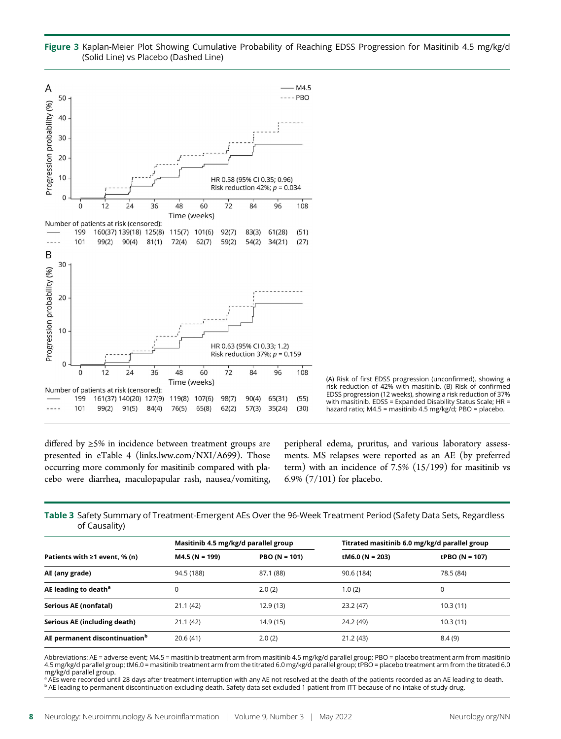



(A) Risk of first EDSS progression (unconfirmed), showing a risk reduction of 42% with masitinib. (B) Risk of confirmed EDSS progression (12 weeks), showing a risk reduction of 37% with masitinib. EDSS = Expanded Disability Status Scale; HR = hazard ratio; M4.5 = masitinib 4.5 mg/kg/d; PBO = placebo.

differed by ≥5% in incidence between treatment groups are presented in eTable 4 ([links.lww.com/NXI/A699\)](http://links.lww.com/NXI/A699). Those occurring more commonly for masitinib compared with placebo were diarrhea, maculopapular rash, nausea/vomiting, peripheral edema, pruritus, and various laboratory assessments. MS relapses were reported as an AE (by preferred term) with an incidence of 7.5% (15/199) for masitinib vs 6.9% (7/101) for placebo.

Table 3 Safety Summary of Treatment-Emergent AEs Over the 96-Week Treatment Period (Safety Data Sets, Regardless of Causality)

|                                           | Masitinib 4.5 mg/kg/d parallel group |                 | Titrated masitinib 6.0 mg/kg/d parallel group |                |
|-------------------------------------------|--------------------------------------|-----------------|-----------------------------------------------|----------------|
| Patients with $\geq 1$ event, % (n)       | $M4.5 (N = 199)$                     | $PBO (N = 101)$ | tM6.0 (N = 203)                               | tPBO (N = 107) |
| AE (any grade)                            | 94.5 (188)                           | 87.1 (88)       | 90.6 (184)                                    | 78.5 (84)      |
| AE leading to death <sup>a</sup>          | 0                                    | 2.0(2)          | 1.0(2)                                        | 0              |
| Serious AE (nonfatal)                     | 21.1(42)                             | 12.9(13)        | 23.2(47)                                      | 10.3(11)       |
| Serious AE (including death)              | 21.1 (42)                            | 14.9 (15)       | 24.2 (49)                                     | 10.3(11)       |
| AE permanent discontinuation <sup>b</sup> | 20.6(41)                             | 2.0(2)          | 21.2 (43)                                     | 8.4(9)         |

Abbreviations: AE = adverse event; M4.5 = masitinib treatment arm from masitinib 4.5 mg/kg/d parallel group; PBO = placebo treatment arm from masitinib 4.5 mg/kg/d parallel group; tM6.0 = masitinib treatment arm from the titrated 6.0 mg/kg/d parallel group; tPBO = placebo treatment arm from the titrated 6.0 mg/kg/d parallel group.

AEs were recorded until 28 days after treatment interruption with any AE not resolved at the death of the patients recorded as an AE leading to death. <sup>b</sup> AE leading to permanent discontinuation excluding death. Safety data set excluded 1 patient from ITT because of no intake of study drug.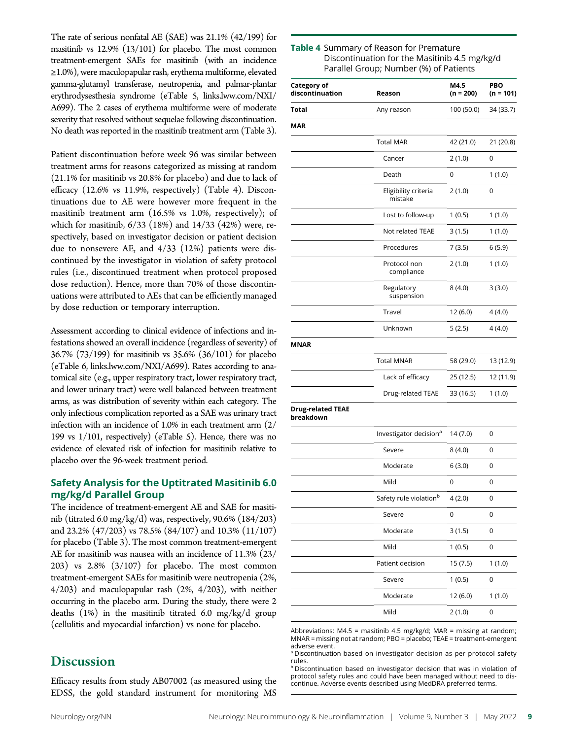The rate of serious nonfatal AE (SAE) was 21.1% (42/199) for masitinib vs 12.9% (13/101) for placebo. The most common treatment-emergent SAEs for masitinib (with an incidence ≥1.0%), were maculopapular rash, erythema multiforme, elevated gamma-glutamyl transferase, neutropenia, and palmar-plantar erythrodysesthesia syndrome (eTable 5, [links.lww.com/NXI/](http://links.lww.com/NXI/A699) [A699\)](http://links.lww.com/NXI/A699). The 2 cases of erythema multiforme were of moderate severity that resolved without sequelae following discontinuation. No death was reported in the masitinib treatment arm (Table 3).

Patient discontinuation before week 96 was similar between treatment arms for reasons categorized as missing at random (21.1% for masitinib vs 20.8% for placebo) and due to lack of efficacy (12.6% vs 11.9%, respectively) (Table 4). Discontinuations due to AE were however more frequent in the masitinib treatment arm (16.5% vs 1.0%, respectively); of which for masitinib, 6/33 (18%) and 14/33 (42%) were, respectively, based on investigator decision or patient decision due to nonsevere AE, and 4/33 (12%) patients were discontinued by the investigator in violation of safety protocol rules (i.e., discontinued treatment when protocol proposed dose reduction). Hence, more than 70% of those discontinuations were attributed to AEs that can be efficiently managed by dose reduction or temporary interruption.

Assessment according to clinical evidence of infections and infestations showed an overall incidence (regardless of severity) of 36.7% (73/199) for masitinib vs 35.6% (36/101) for placebo (eTable 6, [links.lww.com/NXI/A699\)](http://links.lww.com/NXI/A699). Rates according to anatomical site (e.g., upper respiratory tract, lower respiratory tract, and lower urinary tract) were well balanced between treatment arms, as was distribution of severity within each category. The only infectious complication reported as a SAE was urinary tract infection with an incidence of 1.0% in each treatment arm (2/ 199 vs 1/101, respectively) (eTable 5). Hence, there was no evidence of elevated risk of infection for masitinib relative to placebo over the 96-week treatment period.

### Safety Analysis for the Uptitrated Masitinib 6.0 mg/kg/d Parallel Group

The incidence of treatment-emergent AE and SAE for masitinib (titrated 6.0 mg/kg/d) was, respectively, 90.6% (184/203) and 23.2% (47/203) vs 78.5% (84/107) and 10.3% (11/107) for placebo (Table 3). The most common treatment-emergent AE for masitinib was nausea with an incidence of 11.3% (23/ 203) vs  $2.8\%$   $(3/107)$  for placebo. The most common treatment-emergent SAEs for masitinib were neutropenia (2%, 4/203) and maculopapular rash (2%, 4/203), with neither occurring in the placebo arm. During the study, there were 2 deaths (1%) in the masitinib titrated 6.0 mg/kg/d group (cellulitis and myocardial infarction) vs none for placebo.

# **Discussion**

Efficacy results from study AB07002 (as measured using the EDSS, the gold standard instrument for monitoring MS

| <b>Table 4</b> Summary of Reason for Premature |
|------------------------------------------------|
| Discontinuation for the Masitinib 4.5 mg/kg/d  |
| Parallel Group; Number (%) of Patients         |

| <b>Category of</b><br>discontinuation | Reason                             | M4.5<br>$(n = 200)$ | PBO<br>$(n = 101)$ |
|---------------------------------------|------------------------------------|---------------------|--------------------|
| Total                                 | Any reason                         | 100 (50.0)          | 34 (33.7)          |
| MAR                                   |                                    |                     |                    |
|                                       | <b>Total MAR</b>                   | 42 (21.0)           | 21 (20.8)          |
|                                       | Cancer                             | 2(1.0)              | 0                  |
|                                       | Death                              | 0                   | 1(1.0)             |
|                                       | Eligibility criteria<br>mistake    | 2(1.0)              | 0                  |
|                                       | Lost to follow-up                  | 1(0.5)              | 1(1.0)             |
|                                       | Not related TEAE                   | 3(1.5)              | 1(1.0)             |
|                                       | Procedures                         | 7(3.5)              | 6(5.9)             |
|                                       | Protocol non<br>compliance         | 2(1.0)              | 1(1.0)             |
|                                       | Regulatory<br>suspension           | 8(4.0)              | 3(3.0)             |
|                                       | Travel                             | 12 (6.0)            | 4 (4.0)            |
|                                       | Unknown                            | 5(2.5)              | 4(4.0)             |
| MNAR                                  |                                    |                     |                    |
|                                       | <b>Total MNAR</b>                  | 58 (29.0)           | 13 (12.9)          |
|                                       | Lack of efficacy                   | 25 (12.5)           | 12 (11.9)          |
|                                       | Drug-related TEAE                  | 33 (16.5)           | 1(1.0)             |
| <b>Drug-related TEAE</b><br>breakdown |                                    |                     |                    |
|                                       | Investigator decision <sup>a</sup> | 14 (7.0)            | 0                  |
|                                       | Severe                             | 8(4.0)              | 0                  |
|                                       | Moderate                           | 6(3.0)              | 0                  |
|                                       | Mild                               | 0                   | 0                  |
|                                       | Safety rule violation <sup>b</sup> | 4(2.0)              | 0                  |
|                                       | Severe                             | 0                   | 0                  |
|                                       | Moderate                           | 3(1.5)              | 0                  |
|                                       | Mild                               | 1(0.5)              | 0                  |
|                                       | Patient decision                   | 15(7.5)             | 1(1.0)             |
|                                       | Severe                             | 1(0.5)              | 0                  |
|                                       | Moderate                           | 12 (6.0)            | 1(1.0)             |
|                                       | Mild                               | 2(1.0)              | 0                  |

Abbreviations:  $M4.5$  = masitinib 4.5 mg/kg/d;  $MAR$  = missing at random; MNAR = missing not at random; PBO = placebo; TEAE = treatment-emergent adverse event.

 $^{\text{a}}$  Discontinuation based on investigator decision as per protocol safety rules.

**b Discontinuation based on investigator decision that was in violation of** protocol safety rules and could have been managed without need to discontinue. Adverse events described using MedDRA preferred terms.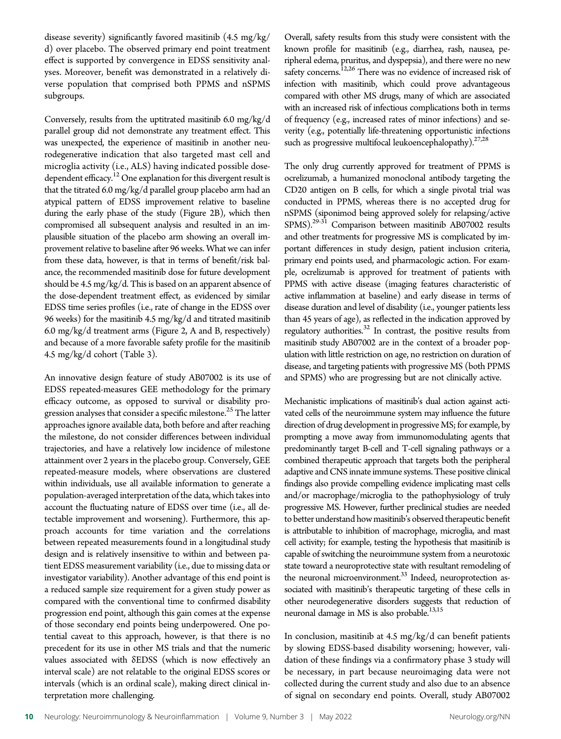disease severity) significantly favored masitinib (4.5 mg/kg/ d) over placebo. The observed primary end point treatment effect is supported by convergence in EDSS sensitivity analyses. Moreover, benefit was demonstrated in a relatively diverse population that comprised both PPMS and nSPMS subgroups.

Conversely, results from the uptitrated masitinib 6.0 mg/kg/d parallel group did not demonstrate any treatment effect. This was unexpected, the experience of masitinib in another neurodegenerative indication that also targeted mast cell and microglia activity (i.e., ALS) having indicated possible dosedependent efficacy.<sup>12</sup> One explanation for this divergent result is that the titrated 6.0 mg/kg/d parallel group placebo arm had an atypical pattern of EDSS improvement relative to baseline during the early phase of the study (Figure 2B), which then compromised all subsequent analysis and resulted in an implausible situation of the placebo arm showing an overall improvement relative to baseline after 96 weeks. What we can infer from these data, however, is that in terms of benefit/risk balance, the recommended masitinib dose for future development should be 4.5 mg/kg/d. This is based on an apparent absence of the dose-dependent treatment effect, as evidenced by similar EDSS time series profiles (i.e., rate of change in the EDSS over 96 weeks) for the masitinib 4.5 mg/kg/d and titrated masitinib 6.0 mg/kg/d treatment arms (Figure 2, A and B, respectively) and because of a more favorable safety profile for the masitinib 4.5 mg/kg/d cohort (Table 3).

An innovative design feature of study AB07002 is its use of EDSS repeated-measures GEE methodology for the primary efficacy outcome, as opposed to survival or disability progression analyses that consider a specific milestone. $^{25}$  The latter approaches ignore available data, both before and after reaching the milestone, do not consider differences between individual trajectories, and have a relatively low incidence of milestone attainment over 2 years in the placebo group. Conversely, GEE repeated-measure models, where observations are clustered within individuals, use all available information to generate a population-averaged interpretation of the data, which takes into account the fluctuating nature of EDSS over time (i.e., all detectable improvement and worsening). Furthermore, this approach accounts for time variation and the correlations between repeated measurements found in a longitudinal study design and is relatively insensitive to within and between patient EDSS measurement variability (i.e., due to missing data or investigator variability). Another advantage of this end point is a reduced sample size requirement for a given study power as compared with the conventional time to confirmed disability progression end point, although this gain comes at the expense of those secondary end points being underpowered. One potential caveat to this approach, however, is that there is no precedent for its use in other MS trials and that the numeric values associated with δEDSS (which is now effectively an interval scale) are not relatable to the original EDSS scores or intervals (which is an ordinal scale), making direct clinical interpretation more challenging.

Overall, safety results from this study were consistent with the known profile for masitinib (e.g., diarrhea, rash, nausea, peripheral edema, pruritus, and dyspepsia), and there were no new safety concerns.<sup>12,26</sup> There was no evidence of increased risk of infection with masitinib, which could prove advantageous compared with other MS drugs, many of which are associated with an increased risk of infectious complications both in terms of frequency (e.g., increased rates of minor infections) and severity (e.g., potentially life-threatening opportunistic infections such as progressive multifocal leukoencephalopathy). $27,28$ 

The only drug currently approved for treatment of PPMS is ocrelizumab, a humanized monoclonal antibody targeting the CD20 antigen on B cells, for which a single pivotal trial was conducted in PPMS, whereas there is no accepted drug for nSPMS (siponimod being approved solely for relapsing/active SPMS).<sup>29-31</sup> Comparison between masitinib AB07002 results and other treatments for progressive MS is complicated by important differences in study design, patient inclusion criteria, primary end points used, and pharmacologic action. For example, ocrelizumab is approved for treatment of patients with PPMS with active disease (imaging features characteristic of active inflammation at baseline) and early disease in terms of disease duration and level of disability (i.e., younger patients less than 45 years of age), as reflected in the indication approved by regulatory authorities.32 In contrast, the positive results from masitinib study AB07002 are in the context of a broader population with little restriction on age, no restriction on duration of disease, and targeting patients with progressive MS (both PPMS and SPMS) who are progressing but are not clinically active.

Mechanistic implications of masitinib's dual action against activated cells of the neuroimmune system may influence the future direction of drug development in progressive MS; for example, by prompting a move away from immunomodulating agents that predominantly target B-cell and T-cell signaling pathways or a combined therapeutic approach that targets both the peripheral adaptive and CNS innate immune systems. These positive clinical findings also provide compelling evidence implicating mast cells and/or macrophage/microglia to the pathophysiology of truly progressive MS. However, further preclinical studies are needed to better understand how masitinib's observed therapeutic benefit is attributable to inhibition of macrophage, microglia, and mast cell activity; for example, testing the hypothesis that masitinib is capable of switching the neuroimmune system from a neurotoxic state toward a neuroprotective state with resultant remodeling of the neuronal microenvironment.<sup>33</sup> Indeed, neuroprotection associated with masitinib's therapeutic targeting of these cells in other neurodegenerative disorders suggests that reduction of neuronal damage in MS is also probable.<sup>13,15</sup>

In conclusion, masitinib at 4.5 mg/kg/d can benefit patients by slowing EDSS-based disability worsening; however, validation of these findings via a confirmatory phase 3 study will be necessary, in part because neuroimaging data were not collected during the current study and also due to an absence of signal on secondary end points. Overall, study AB07002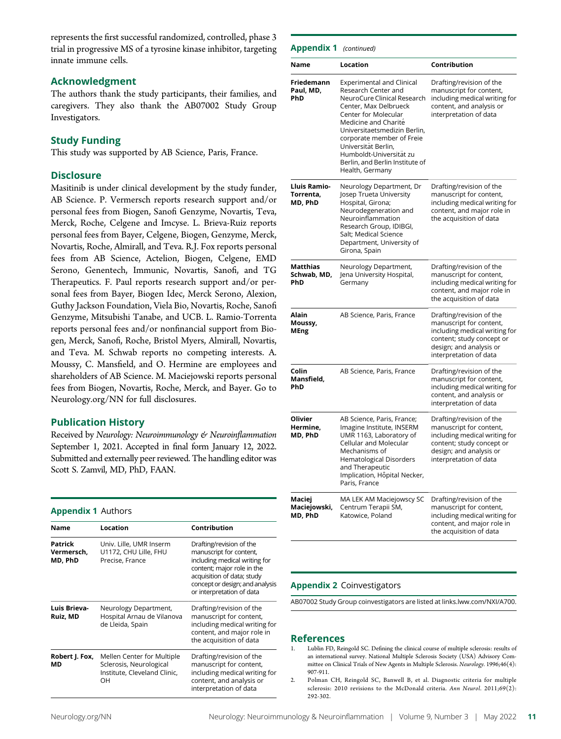represents the first successful randomized, controlled, phase 3 trial in progressive MS of a tyrosine kinase inhibitor, targeting innate immune cells.

### Acknowledgment

The authors thank the study participants, their families, and caregivers. They also thank the AB07002 Study Group Investigators.

### Study Funding

This study was supported by AB Science, Paris, France.

### **Disclosure**

Masitinib is under clinical development by the study funder, AB Science. P. Vermersch reports research support and/or personal fees from Biogen, Sanofi Genzyme, Novartis, Teva, Merck, Roche, Celgene and Imcyse. L. Brieva-Ruiz reports personal fees from Bayer, Celgene, Biogen, Genzyme, Merck, Novartis, Roche, Almirall, and Teva. R.J. Fox reports personal fees from AB Science, Actelion, Biogen, Celgene, EMD Serono, Genentech, Immunic, Novartis, Sanofi, and TG Therapeutics. F. Paul reports research support and/or personal fees from Bayer, Biogen Idec, Merck Serono, Alexion, Guthy Jackson Foundation, Viela Bio, Novartis, Roche, Sanofi Genzyme, Mitsubishi Tanabe, and UCB. L. Ramio-Torrenta reports personal fees and/or nonfinancial support from Biogen, Merck, Sanofi, Roche, Bristol Myers, Almirall, Novartis, and Teva. M. Schwab reports no competing interests. A. Moussy, C. Mansfield, and O. Hermine are employees and shareholders of AB Science. M. Maciejowski reports personal fees from Biogen, Novartis, Roche, Merck, and Bayer. Go to [Neurology.org/NN](https://nn.neurology.org/content/9/3/e1148/tab-article-info) for full disclosures.

### Publication History

Received by Neurology: Neuroimmunology & Neuroinflammation September 1, 2021. Accepted in final form January 12, 2022. Submitted and externally peer reviewed. The handling editor was Scott S. Zamvil, MD, PhD, FAAN.

### Appendix 1 Authors

| <b>Name</b>                      | Location                                                                                    | Contribution                                                                                                                                                                                                     |
|----------------------------------|---------------------------------------------------------------------------------------------|------------------------------------------------------------------------------------------------------------------------------------------------------------------------------------------------------------------|
| Patrick<br>Vermersch,<br>MD, PhD | Univ. Lille, UMR Inserm<br>U1172, CHU Lille, FHU<br>Precise, France                         | Drafting/revision of the<br>manuscript for content,<br>including medical writing for<br>content; major role in the<br>acquisition of data; study<br>concept or design; and analysis<br>or interpretation of data |
| Luis Brieva-<br>Ruiz, MD         | Neurology Department,<br>Hospital Arnau de Vilanova<br>de Lleida, Spain                     | Drafting/revision of the<br>manuscript for content,<br>including medical writing for<br>content, and major role in<br>the acquisition of data                                                                    |
| Robert J. Fox,<br>МD             | Mellen Center for Multiple<br>Sclerosis, Neurological<br>Institute, Cleveland Clinic,<br>OН | Drafting/revision of the<br>manuscript for content,<br>including medical writing for<br>content, and analysis or<br>interpretation of data                                                                       |

| <b>Appendix 1</b> (continued)        |                                                                                                                                                                                                                                                                                                                                      |                                                                                                                                                                        |  |  |
|--------------------------------------|--------------------------------------------------------------------------------------------------------------------------------------------------------------------------------------------------------------------------------------------------------------------------------------------------------------------------------------|------------------------------------------------------------------------------------------------------------------------------------------------------------------------|--|--|
| Name                                 | Location                                                                                                                                                                                                                                                                                                                             | Contribution                                                                                                                                                           |  |  |
| Friedemann<br>Paul, MD,<br>PhD       | <b>Experimental and Clinical</b><br>Research Center and<br>NeuroCure Clinical Research<br>Center, Max Delbrueck<br>Center for Molecular<br>Medicine and Charité<br>Universitaetsmedizin Berlin.<br>corporate member of Freie<br>Universität Berlin,<br>Humboldt-Universität zu<br>Berlin, and Berlin Institute of<br>Health, Germany | Drafting/revision of the<br>manuscript for content,<br>including medical writing for<br>content, and analysis or<br>interpretation of data                             |  |  |
| Lluis Ramio-<br>Torrenta.<br>MD, PhD | Neurology Department, Dr<br>Josep Trueta University<br>Hospital, Girona;<br>Neurodegeneration and<br>Neuroinflammation<br>Research Group, IDIBGI,<br>Salt; Medical Science<br>Department, University of<br>Girona, Spain                                                                                                             | Drafting/revision of the<br>manuscript for content,<br>including medical writing for<br>content, and major role in<br>the acquisition of data                          |  |  |
| Matthias<br>Schwab, MD,<br>PhD       | Neurology Department,<br>Jena University Hospital,<br>Germany                                                                                                                                                                                                                                                                        | Drafting/revision of the<br>manuscript for content,<br>including medical writing for<br>content, and major role in<br>the acquisition of data                          |  |  |
| Alain<br>Moussy,<br>MEng             | AB Science, Paris, France                                                                                                                                                                                                                                                                                                            | Drafting/revision of the<br>manuscript for content,<br>including medical writing for<br>content; study concept or<br>design; and analysis or<br>interpretation of data |  |  |
| Colin<br>Mansfield,<br>PhD           | AB Science, Paris, France                                                                                                                                                                                                                                                                                                            | Drafting/revision of the<br>manuscript for content,<br>including medical writing for<br>content, and analysis or<br>interpretation of data                             |  |  |
| Olivier<br>Hermine,<br>MD, PhD       | AB Science, Paris, France;<br>Imagine Institute, INSERM<br>UMR 1163, Laboratory of<br>Cellular and Molecular<br>Mechanisms of<br>Hematological Disorders<br>and Therapeutic<br>Implication, Hôpital Necker,<br>Paris, France                                                                                                         | Drafting/revision of the<br>manuscript for content,<br>including medical writing for<br>content; study concept or<br>design; and analysis or<br>interpretation of data |  |  |
| Maciej<br>Maciejowski,<br>MD, PhD    | MA LEK AM Maciejowscy SC<br>Centrum Terapii SM,<br>Katowice, Poland                                                                                                                                                                                                                                                                  | Drafting/revision of the<br>manuscript for content,<br>including medical writing for<br>content, and major role in<br>the acquisition of data                          |  |  |

### Appendix 2 Coinvestigators

AB07002 Study Group coinvestigators are listed at [links.lww.com/NXI/A700](http://links.lww.com/NXI/A700).

### References

- 1. Lublin FD, Reingold SC. Defining the clinical course of multiple sclerosis: results of an international survey. National Multiple Sclerosis Society (USA) Advisory Committee on Clinical Trials of New Agents in Multiple Sclerosis. Neurology. 1996;46(4): 907-911.
- 2. Polman CH, Reingold SC, Banwell B, et al. Diagnostic criteria for multiple sclerosis: 2010 revisions to the McDonald criteria. Ann Neurol. 2011;69(2): 292-302.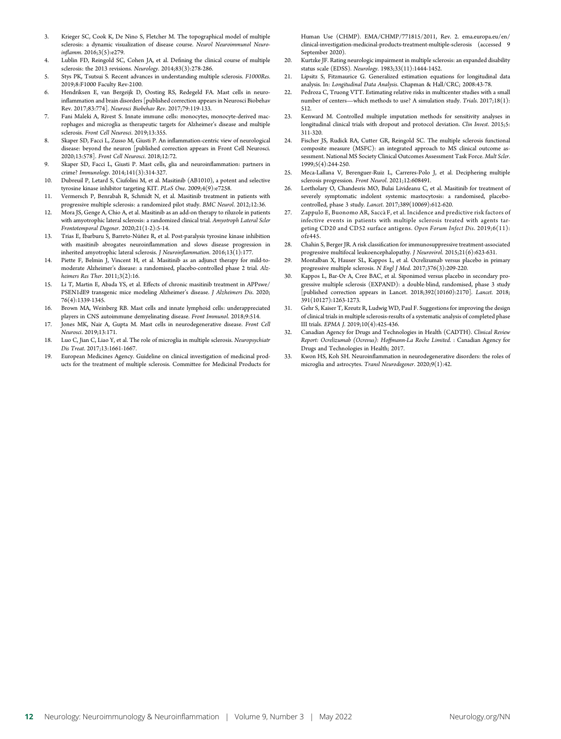- 3. Krieger SC, Cook K, De Nino S, Fletcher M. The topographical model of multiple sclerosis: a dynamic visualization of disease course. Neurol Neuroimmunol Neuroinflamm. 2016;3(5):e279.
- 4. Lublin FD, Reingold SC, Cohen JA, et al. Defining the clinical course of multiple sclerosis: the 2013 revisions. Neurology. 2014;83(3):278-286.
- 5. Stys PK, Tsutsui S. Recent advances in understanding multiple sclerosis. F1000Res. 2019;8:F1000 Faculty Rev-2100.
- 6. Hendriksen E, van Bergeijk D, Oosting RS, Redegeld FA. Mast cells in neuroinflammation and brain disorders [published correction appears in Neurosci Biobehav Rev. 2017;83:774]. Neurosci Biobehav Rev. 2017;79:119-133.
- 7. Fani Maleki A, Rivest S. Innate immune cells: monocytes, monocyte-derived macrophages and microglia as therapeutic targets for Alzheimer's disease and multiple sclerosis. Front Cell Neurosci. 2019;13:355.
- 8. Skaper SD, Facci L, Zusso M, Giusti P. An inflammation-centric view of neurological disease: beyond the neuron [published correction appears in Front Cell Neurosci. 2020;13:578]. Front Cell Neurosci. 2018;12:72.
- 9. Skaper SD, Facci L, Giusti P. Mast cells, glia and neuroinflammation: partners in crime? Immunology. 2014;141(3):314-327.
- 10. Dubreuil P, Letard S, Ciufolini M, et al. Masitinib (AB1010), a potent and selective tyrosine kinase inhibitor targeting KIT. PLoS One. 2009;4(9):e7258.
- 11. Vermersch P, Benrabah R, Schmidt N, et al. Masitinib treatment in patients with progressive multiple sclerosis: a randomized pilot study. BMC Neurol. 2012;12:36.
- 12. Mora JS, Genge A, Chio A, et al. Masitinib as an add-on therapy to riluzole in patients with amyotrophic lateral sclerosis: a randomized clinical trial. Amyotroph Lateral Scler Frontotemporal Degener. 2020;21(1-2):5-14.
- 13. Trias E, Ibarburu S, Barreto-Núñez R, et al. Post-paralysis tyrosine kinase inhibition with masitinib abrogates neuroinflammation and slows disease progression in inherited amyotrophic lateral sclerosis. J Neuroinflammation. 2016;13(1):177.
- Piette F, Belmin J, Vincent H, et al. Masitinib as an adjunct therapy for mild-tomoderate Alzheimer's disease: a randomised, placebo-controlled phase 2 trial. Alzheimers Res Ther. 2011;3(2):16.
- 15. Li T, Martin E, Abada YS, et al. Effects of chronic masitinib treatment in APPswe/ PSEN1dE9 transgenic mice modeling Alzheimer's disease. J Alzheimers Dis. 2020; 76(4):1339-1345.
- 16. Brown MA, Weinberg RB. Mast cells and innate lymphoid cells: underappreciated players in CNS autoimmune demyelinating disease. Front Immunol. 2018;9:514.
- 17. Jones MK, Nair A, Gupta M. Mast cells in neurodegenerative disease. Front Cell Neurosci. 2019;13:171.
- 18. Luo C, Jian C, Liao Y, et al. The role of microglia in multiple sclerosis. Neuropsychiatr Dis Treat. 2017;13:1661-1667.
- 19. European Medicines Agency. Guideline on clinical investigation of medicinal products for the treatment of multiple sclerosis. Committee for Medicinal Products for

Human Use (CHMP). EMA/CHMP/771815/2011, Rev. 2. [ema.europa.eu/en/](https://www.ema.europa.eu/en/clinical-investigation-medicinal-products-treatment-multiple-sclerosis) [clinical-investigation-medicinal-products-treatment-multiple-sclerosis](https://www.ema.europa.eu/en/clinical-investigation-medicinal-products-treatment-multiple-sclerosis) (accessed 9 September 2020).

- 20. Kurtzke JF. Rating neurologic impairment in multiple sclerosis: an expanded disability status scale (EDSS). Neurology. 1983;33(11):1444-1452.
- 21. Lipsitz S, Fitzmaurice G. Generalized estimation equations for longitudinal data analysis. In: Longitudinal Data Analysis. Chapman & Hall/CRC; 2008:43-78.
- 22. Pedroza C, Truong VTT. Estimating relative risks in multicenter studies with a small number of centers—which methods to use? A simulation study. Trials. 2017;18(1): 512.
- 23. Kenward M. Controlled multiple imputation methods for sensitivity analyses in longitudinal clinical trials with dropout and protocol deviation. Clin Invest. 2015;5: 311-320.
- 24. Fischer JS, Rudick RA, Cutter GR, Reingold SC. The multiple sclerosis functional composite measure (MSFC): an integrated approach to MS clinical outcome assessment. National MS Society Clinical Outcomes Assessment Task Force. Mult Scler. 1999;5(4):244-250.
- 25. Meca-Lallana V, Berenguer-Ruiz L, Carreres-Polo J, et al. Deciphering multiple sclerosis progression. Front Neurol. 2021;12:608491.
- 26. Lortholary O, Chandesris MO, Bulai Livideanu C, et al. Masitinib for treatment of severely symptomatic indolent systemic mastocytosis: a randomised, placebocontrolled, phase 3 study. Lancet. 2017;389(10069):612-620.
- 27. Zappulo E, Buonomo AR, Saccà F, et al. Incidence and predictive risk factors of infective events in patients with multiple sclerosis treated with agents targeting CD20 and CD52 surface antigens. Open Forum Infect Dis. 2019;6(11): ofz445.
- 28. Chahin S, Berger JR. A risk classification for immunosuppressive treatment-associated progressive multifocal leukoencephalopathy. J Neurovirol. 2015;21(6):623-631.
- 29. Montalban X, Hauser SL, Kappos L, et al. Ocrelizumab versus placebo in primary progressive multiple sclerosis. N Engl J Med. 2017;376(3):209-220.
- 30. Kappos L, Bar-Or A, Cree BAC, et al. Siponimod versus placebo in secondary progressive multiple sclerosis (EXPAND): a double-blind, randomised, phase 3 study [published correction appears in Lancet. 2018;392(10160):2170]. Lancet. 2018; 391(10127):1263-1273.
- 31. Gehr S, Kaiser T, Kreutz R, Ludwig WD, Paul F. Suggestions for improving the design of clinical trials in multiple sclerosis-results of a systematic analysis of completed phase III trials. EPMA J. 2019;10(4):425-436.
- 32. Canadian Agency for Drugs and Technologies in Health (CADTH). Clinical Review Report: Ocrelizumab (Ocrevus): Hoffmann-La Roche Limited. : Canadian Agency for Drugs and Technologies in Health; 2017.
- 33. Kwon HS, Koh SH. Neuroinflammation in neurodegenerative disorders: the roles of microglia and astrocytes. Transl Neurodegener. 2020;9(1):42.